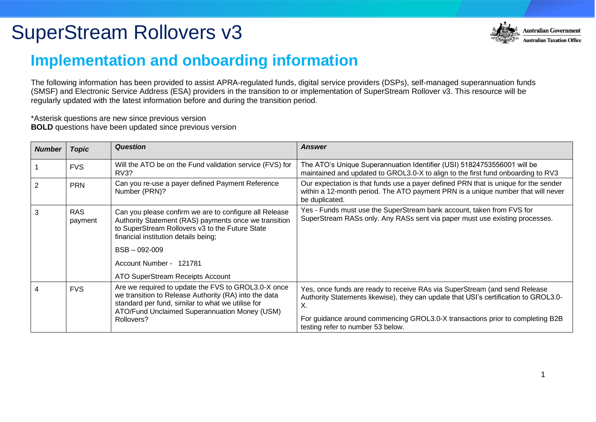

#### **Implementation and onboarding information**

The following information has been provided to assist APRA-regulated funds, digital service providers (DSPs), self-managed superannuation funds (SMSF) and Electronic Service Address (ESA) providers in the transition to or implementation of SuperStream Rollover v3. This resource will be regularly updated with the latest information before and during the transition period.

\*Asterisk questions are new since previous version **BOLD** questions have been updated since previous version

| <b>Number</b> | <b>Topic</b>          | <b>Question</b>                                                                                                                                                                                                                                            | <b>Answer</b>                                                                                                                                                                             |
|---------------|-----------------------|------------------------------------------------------------------------------------------------------------------------------------------------------------------------------------------------------------------------------------------------------------|-------------------------------------------------------------------------------------------------------------------------------------------------------------------------------------------|
|               | <b>FVS</b>            | Will the ATO be on the Fund validation service (FVS) for<br>RV3?                                                                                                                                                                                           | The ATO's Unique Superannuation Identifier (USI) 51824753556001 will be<br>maintained and updated to GROL3.0-X to align to the first fund onboarding to RV3                               |
| 2             | <b>PRN</b>            | Can you re-use a payer defined Payment Reference<br>Number (PRN)?                                                                                                                                                                                          | Our expectation is that funds use a payer defined PRN that is unique for the sender<br>within a 12-month period. The ATO payment PRN is a unique number that will never<br>be duplicated. |
| 3             | <b>RAS</b><br>payment | Can you please confirm we are to configure all Release<br>Authority Statement (RAS) payments once we transition<br>to SuperStream Rollovers v3 to the Future State<br>financial institution details being;<br>$BSB - 092 - 009$<br>Account Number - 121781 | Yes - Funds must use the SuperStream bank account, taken from FVS for<br>SuperStream RASs only. Any RASs sent via paper must use existing processes.                                      |
|               |                       | ATO SuperStream Receipts Account                                                                                                                                                                                                                           |                                                                                                                                                                                           |
|               | <b>FVS</b>            | Are we required to update the FVS to GROL3.0-X once<br>we transition to Release Authority (RA) into the data<br>standard per fund, similar to what we utilise for<br>ATO/Fund Unclaimed Superannuation Money (USM)                                         | Yes, once funds are ready to receive RAs via SuperStream (and send Release<br>Authority Statements likewise), they can update that USI's certification to GROL3.0-<br>Χ.                  |
|               |                       | Rollovers?                                                                                                                                                                                                                                                 | For guidance around commencing GROL3.0-X transactions prior to completing B2B<br>testing refer to number 53 below.                                                                        |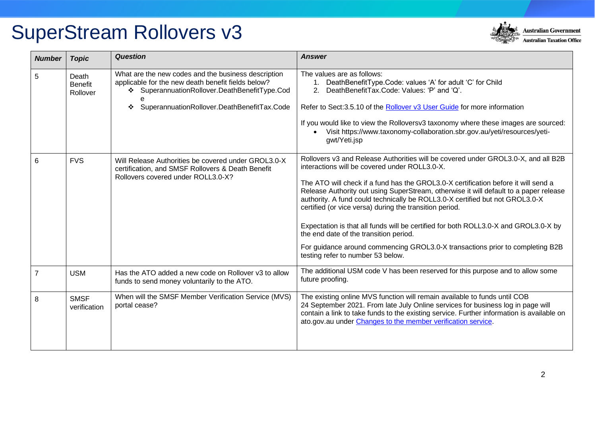

| <b>Number</b>  | <b>Topic</b>                        | <b>Question</b>                                                                                                                                                                                                | <b>Answer</b>                                                                                                                                                                                                                                                                                                                                                                                                                                                                                                                                                                                                                                                                                                       |
|----------------|-------------------------------------|----------------------------------------------------------------------------------------------------------------------------------------------------------------------------------------------------------------|---------------------------------------------------------------------------------------------------------------------------------------------------------------------------------------------------------------------------------------------------------------------------------------------------------------------------------------------------------------------------------------------------------------------------------------------------------------------------------------------------------------------------------------------------------------------------------------------------------------------------------------------------------------------------------------------------------------------|
| 5              | Death<br><b>Benefit</b><br>Rollover | What are the new codes and the business description<br>applicable for the new death benefit fields below?<br>❖ SuperannuationRollover.DeathBenefitType.Cod<br>SuperannuationRollover.DeathBenefitTax.Code<br>❖ | The values are as follows:<br>DeathBenefitType.Code: values 'A' for adult 'C' for Child<br>2.<br>DeathBenefitTax.Code: Values: 'P' and 'Q'.<br>Refer to Sect: 3.5.10 of the Rollover v3 User Guide for more information<br>If you would like to view the Rolloversv3 taxonomy where these images are sourced:<br>Visit https://www.taxonomy-collaboration.sbr.gov.au/yeti/resources/yeti-<br>$\bullet$<br>gwt/Yeti.jsp                                                                                                                                                                                                                                                                                              |
| 6              | <b>FVS</b>                          | Will Release Authorities be covered under GROL3.0-X<br>certification, and SMSF Rollovers & Death Benefit<br>Rollovers covered under ROLL3.0-X?                                                                 | Rollovers v3 and Release Authorities will be covered under GROL3.0-X, and all B2B<br>interactions will be covered under ROLL3.0-X.<br>The ATO will check if a fund has the GROL3.0-X certification before it will send a<br>Release Authority out using SuperStream, otherwise it will default to a paper release<br>authority. A fund could technically be ROLL3.0-X certified but not GROL3.0-X<br>certified (or vice versa) during the transition period.<br>Expectation is that all funds will be certified for both ROLL3.0-X and GROL3.0-X by<br>the end date of the transition period.<br>For guidance around commencing GROL3.0-X transactions prior to completing B2B<br>testing refer to number 53 below. |
| $\overline{7}$ | <b>USM</b>                          | Has the ATO added a new code on Rollover v3 to allow<br>funds to send money voluntarily to the ATO.                                                                                                            | The additional USM code V has been reserved for this purpose and to allow some<br>future proofing.                                                                                                                                                                                                                                                                                                                                                                                                                                                                                                                                                                                                                  |
| 8              | <b>SMSF</b><br>verification         | When will the SMSF Member Verification Service (MVS)<br>portal cease?                                                                                                                                          | The existing online MVS function will remain available to funds until COB<br>24 September 2021. From late July Online services for business log in page will<br>contain a link to take funds to the existing service. Further information is available on<br>ato.gov.au under Changes to the member verification service.                                                                                                                                                                                                                                                                                                                                                                                           |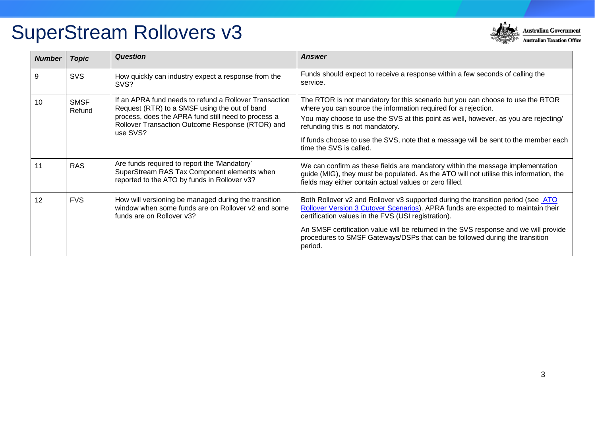

| <b>Number</b> | <b>Topic</b>          | <b>Question</b>                                                                                                                             | <b>Answer</b>                                                                                                                                                                                                                       |
|---------------|-----------------------|---------------------------------------------------------------------------------------------------------------------------------------------|-------------------------------------------------------------------------------------------------------------------------------------------------------------------------------------------------------------------------------------|
| 9             | <b>SVS</b>            | How quickly can industry expect a response from the<br>SVS?                                                                                 | Funds should expect to receive a response within a few seconds of calling the<br>service.                                                                                                                                           |
| 10            | <b>SMSF</b><br>Refund | If an APRA fund needs to refund a Rollover Transaction<br>Request (RTR) to a SMSF using the out of band                                     | The RTOR is not mandatory for this scenario but you can choose to use the RTOR<br>where you can source the information required for a rejection.                                                                                    |
|               |                       | process, does the APRA fund still need to process a<br>Rollover Transaction Outcome Response (RTOR) and                                     | You may choose to use the SVS at this point as well, however, as you are rejecting/<br>refunding this is not mandatory.                                                                                                             |
|               |                       | use SVS?                                                                                                                                    | If funds choose to use the SVS, note that a message will be sent to the member each<br>time the SVS is called.                                                                                                                      |
| 11            | <b>RAS</b>            | Are funds required to report the 'Mandatory'<br>SuperStream RAS Tax Component elements when<br>reported to the ATO by funds in Rollover v3? | We can confirm as these fields are mandatory within the message implementation<br>guide (MIG), they must be populated. As the ATO will not utilise this information, the<br>fields may either contain actual values or zero filled. |
| 12            | <b>FVS</b>            | How will versioning be managed during the transition<br>window when some funds are on Rollover v2 and some<br>funds are on Rollover v3?     | Both Rollover v2 and Rollover v3 supported during the transition period (see ATO<br>Rollover Version 3 Cutover Scenarios). APRA funds are expected to maintain their<br>certification values in the FVS (USI registration).         |
|               |                       |                                                                                                                                             | An SMSF certification value will be returned in the SVS response and we will provide<br>procedures to SMSF Gateways/DSPs that can be followed during the transition<br>period.                                                      |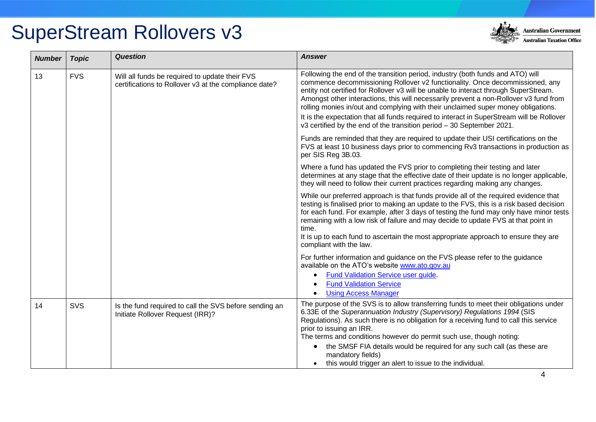

| <b>Number</b> | <b>Topic</b> | <b>Question</b>                                                                                         | <b>Answer</b>                                                                                                                                                                                                                                                                                                                                                                                                                                                                                                                                                                                              |
|---------------|--------------|---------------------------------------------------------------------------------------------------------|------------------------------------------------------------------------------------------------------------------------------------------------------------------------------------------------------------------------------------------------------------------------------------------------------------------------------------------------------------------------------------------------------------------------------------------------------------------------------------------------------------------------------------------------------------------------------------------------------------|
| 13            | <b>FVS</b>   | Will all funds be required to update their FVS<br>certifications to Rollover v3 at the compliance date? | Following the end of the transition period, industry (both funds and ATO) will<br>commence decommissioning Rollover v2 functionality. Once decommissioned, any<br>entity not certified for Rollover v3 will be unable to interact through SuperStream.<br>Amongst other interactions, this will necessarily prevent a non-Rollover v3 fund from<br>rolling monies in/out and complying with their unclaimed super money obligations.<br>It is the expectation that all funds required to interact in SuperStream will be Rollover<br>v3 certified by the end of the transition period - 30 September 2021. |
|               |              |                                                                                                         | Funds are reminded that they are required to update their USI certifications on the<br>FVS at least 10 business days prior to commencing Rv3 transactions in production as<br>per SIS Reg 3B.03.                                                                                                                                                                                                                                                                                                                                                                                                           |
|               |              |                                                                                                         | Where a fund has updated the FVS prior to completing their testing and later<br>determines at any stage that the effective date of their update is no longer applicable,<br>they will need to follow their current practices regarding making any changes.                                                                                                                                                                                                                                                                                                                                                 |
|               |              |                                                                                                         | While our preferred approach is that funds provide all of the required evidence that<br>testing is finalised prior to making an update to the FVS, this is a risk based decision<br>for each fund. For example, after 3 days of testing the fund may only have minor tests<br>remaining with a low risk of failure and may decide to update FVS at that point in<br>time.<br>It is up to each fund to ascertain the most appropriate approach to ensure they are<br>compliant with the law.                                                                                                                |
|               |              |                                                                                                         | For further information and guidance on the FVS please refer to the guidance<br>available on the ATO's website www.ato.gov.au<br>Fund Validation Service user guide.<br>$\bullet$<br><b>Fund Validation Service</b><br><b>Using Access Manager</b>                                                                                                                                                                                                                                                                                                                                                         |
| 14            | SVS          | Is the fund required to call the SVS before sending an<br>Initiate Rollover Request (IRR)?              | The purpose of the SVS is to allow transferring funds to meet their obligations under<br>6.33E of the Superannuation Industry (Supervisory) Regulations 1994 (SIS<br>Regulations). As such there is no obligation for a receiving fund to call this service<br>prior to issuing an IRR.<br>The terms and conditions however do permit such use, though noting:<br>the SMSF FIA details would be required for any such call (as these are<br>$\bullet$<br>mandatory fields)<br>this would trigger an alert to issue to the individual.                                                                      |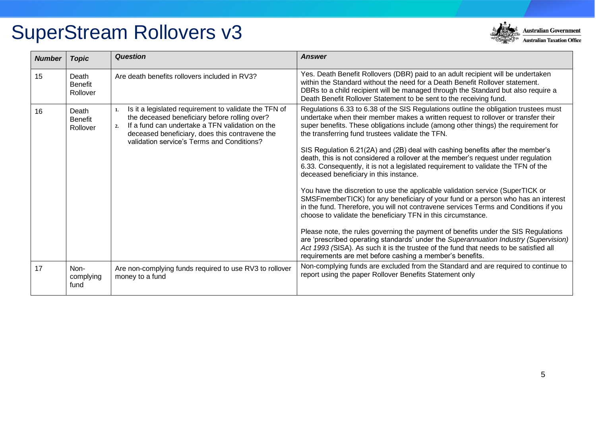

| <b>Number</b> | <b>Topic</b>                        | <b>Question</b>                                                                                                                                                                                                                                           | <b>Answer</b>                                                                                                                                                                                                                                                                                                                                                                                                                                                                                                                                                                                                                                                                                                                                                                                                                                                                                                                                                                                                                                                                                                                                                                                                                                                                              |
|---------------|-------------------------------------|-----------------------------------------------------------------------------------------------------------------------------------------------------------------------------------------------------------------------------------------------------------|--------------------------------------------------------------------------------------------------------------------------------------------------------------------------------------------------------------------------------------------------------------------------------------------------------------------------------------------------------------------------------------------------------------------------------------------------------------------------------------------------------------------------------------------------------------------------------------------------------------------------------------------------------------------------------------------------------------------------------------------------------------------------------------------------------------------------------------------------------------------------------------------------------------------------------------------------------------------------------------------------------------------------------------------------------------------------------------------------------------------------------------------------------------------------------------------------------------------------------------------------------------------------------------------|
| 15            | Death<br><b>Benefit</b><br>Rollover | Are death benefits rollovers included in RV3?                                                                                                                                                                                                             | Yes. Death Benefit Rollovers (DBR) paid to an adult recipient will be undertaken<br>within the Standard without the need for a Death Benefit Rollover statement.<br>DBRs to a child recipient will be managed through the Standard but also require a<br>Death Benefit Rollover Statement to be sent to the receiving fund.                                                                                                                                                                                                                                                                                                                                                                                                                                                                                                                                                                                                                                                                                                                                                                                                                                                                                                                                                                |
| 16            | Death<br><b>Benefit</b><br>Rollover | Is it a legislated requirement to validate the TFN of<br>the deceased beneficiary before rolling over?<br>If a fund can undertake a TFN validation on the<br>deceased beneficiary, does this contravene the<br>validation service's Terms and Conditions? | Regulations 6.33 to 6.38 of the SIS Regulations outline the obligation trustees must<br>undertake when their member makes a written request to rollover or transfer their<br>super benefits. These obligations include (among other things) the requirement for<br>the transferring fund trustees validate the TFN.<br>SIS Regulation 6.21(2A) and (2B) deal with cashing benefits after the member's<br>death, this is not considered a rollover at the member's request under regulation<br>6.33. Consequently, it is not a legislated requirement to validate the TFN of the<br>deceased beneficiary in this instance.<br>You have the discretion to use the applicable validation service (SuperTICK or<br>SMSFmemberTICK) for any beneficiary of your fund or a person who has an interest<br>in the fund. Therefore, you will not contravene services Terms and Conditions if you<br>choose to validate the beneficiary TFN in this circumstance.<br>Please note, the rules governing the payment of benefits under the SIS Regulations<br>are 'prescribed operating standards' under the Superannuation Industry (Supervision)<br>Act 1993 (SISA). As such it is the trustee of the fund that needs to be satisfied all<br>requirements are met before cashing a member's benefits. |
| 17            | Non-<br>complying<br>fund           | Are non-complying funds required to use RV3 to rollover<br>money to a fund                                                                                                                                                                                | Non-complying funds are excluded from the Standard and are required to continue to<br>report using the paper Rollover Benefits Statement only                                                                                                                                                                                                                                                                                                                                                                                                                                                                                                                                                                                                                                                                                                                                                                                                                                                                                                                                                                                                                                                                                                                                              |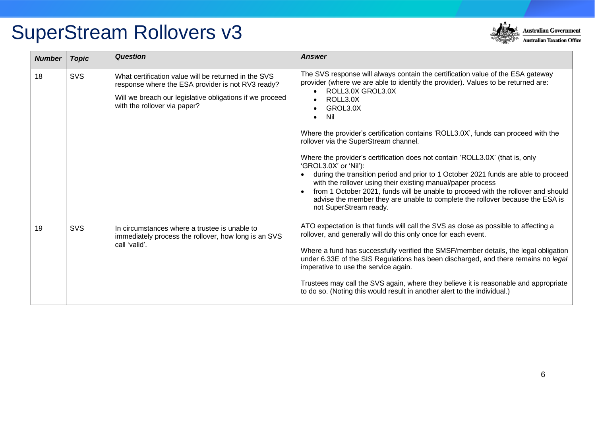

| <b>Number</b> | <b>Topic</b> | <b>Question</b>                                                                                                                                                                                       | <b>Answer</b>                                                                                                                                                                                                                                                                                                                                                                                                                                                                                                                                                                                                                                                                                                                                                                                                                                    |
|---------------|--------------|-------------------------------------------------------------------------------------------------------------------------------------------------------------------------------------------------------|--------------------------------------------------------------------------------------------------------------------------------------------------------------------------------------------------------------------------------------------------------------------------------------------------------------------------------------------------------------------------------------------------------------------------------------------------------------------------------------------------------------------------------------------------------------------------------------------------------------------------------------------------------------------------------------------------------------------------------------------------------------------------------------------------------------------------------------------------|
| 18            | <b>SVS</b>   | What certification value will be returned in the SVS<br>response where the ESA provider is not RV3 ready?<br>Will we breach our legislative obligations if we proceed<br>with the rollover via paper? | The SVS response will always contain the certification value of the ESA gateway<br>provider (where we are able to identify the provider). Values to be returned are:<br>ROLL3.0X GROL3.0X<br>ROLL3.0X<br>$\bullet$<br>GROL3.0X<br>Nil<br>$\bullet$<br>Where the provider's certification contains 'ROLL3.0X', funds can proceed with the<br>rollover via the SuperStream channel.<br>Where the provider's certification does not contain 'ROLL3.0X' (that is, only<br>'GROL3.0X' or 'Nil'):<br>during the transition period and prior to 1 October 2021 funds are able to proceed<br>with the rollover using their existing manual/paper process<br>from 1 October 2021, funds will be unable to proceed with the rollover and should<br>advise the member they are unable to complete the rollover because the ESA is<br>not SuperStream ready. |
| 19            | SVS          | In circumstances where a trustee is unable to<br>immediately process the rollover, how long is an SVS<br>call 'valid'.                                                                                | ATO expectation is that funds will call the SVS as close as possible to affecting a<br>rollover, and generally will do this only once for each event.<br>Where a fund has successfully verified the SMSF/member details, the legal obligation<br>under 6.33E of the SIS Regulations has been discharged, and there remains no legal<br>imperative to use the service again.<br>Trustees may call the SVS again, where they believe it is reasonable and appropriate<br>to do so. (Noting this would result in another alert to the individual.)                                                                                                                                                                                                                                                                                                  |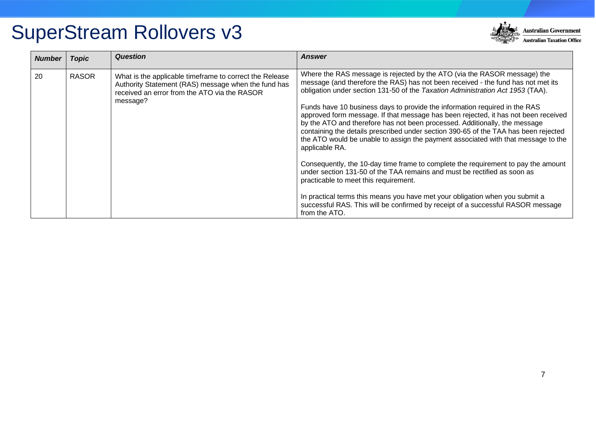

| <b>Number</b> | <b>Topic</b> | <b>Question</b>                                                                                                                                                            | <b>Answer</b>                                                                                                                                                                                                                                                                                                                                                                                                                                                                                                                                                                                                                                                                                                                                                                                                                                                                                                                                                                                                                                                                                |
|---------------|--------------|----------------------------------------------------------------------------------------------------------------------------------------------------------------------------|----------------------------------------------------------------------------------------------------------------------------------------------------------------------------------------------------------------------------------------------------------------------------------------------------------------------------------------------------------------------------------------------------------------------------------------------------------------------------------------------------------------------------------------------------------------------------------------------------------------------------------------------------------------------------------------------------------------------------------------------------------------------------------------------------------------------------------------------------------------------------------------------------------------------------------------------------------------------------------------------------------------------------------------------------------------------------------------------|
| 20            | <b>RASOR</b> | What is the applicable timeframe to correct the Release<br>Authority Statement (RAS) message when the fund has<br>received an error from the ATO via the RASOR<br>message? | Where the RAS message is rejected by the ATO (via the RASOR message) the<br>message (and therefore the RAS) has not been received - the fund has not met its<br>obligation under section 131-50 of the Taxation Administration Act 1953 (TAA).<br>Funds have 10 business days to provide the information required in the RAS<br>approved form message. If that message has been rejected, it has not been received<br>by the ATO and therefore has not been processed. Additionally, the message<br>containing the details prescribed under section 390-65 of the TAA has been rejected<br>the ATO would be unable to assign the payment associated with that message to the<br>applicable RA.<br>Consequently, the 10-day time frame to complete the requirement to pay the amount<br>under section 131-50 of the TAA remains and must be rectified as soon as<br>practicable to meet this requirement.<br>In practical terms this means you have met your obligation when you submit a<br>successful RAS. This will be confirmed by receipt of a successful RASOR message<br>from the ATO. |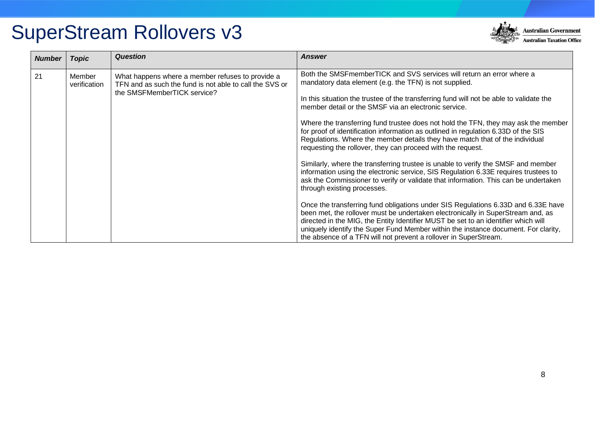

| <b>Number</b> | <b>Topic</b>           | <b>Question</b>                                                                                                                            | <b>Answer</b>                                                                                                                                                                                                                                                                                                                                                                                                                                                                                                                                                                                                                                                                                                                                                                                                                                                                                                                                                                                                                                                                                                                                                                                                                                                       |
|---------------|------------------------|--------------------------------------------------------------------------------------------------------------------------------------------|---------------------------------------------------------------------------------------------------------------------------------------------------------------------------------------------------------------------------------------------------------------------------------------------------------------------------------------------------------------------------------------------------------------------------------------------------------------------------------------------------------------------------------------------------------------------------------------------------------------------------------------------------------------------------------------------------------------------------------------------------------------------------------------------------------------------------------------------------------------------------------------------------------------------------------------------------------------------------------------------------------------------------------------------------------------------------------------------------------------------------------------------------------------------------------------------------------------------------------------------------------------------|
| 21            | Member<br>verification | What happens where a member refuses to provide a<br>TFN and as such the fund is not able to call the SVS or<br>the SMSFMemberTICK service? | Both the SMSFmemberTICK and SVS services will return an error where a<br>mandatory data element (e.g. the TFN) is not supplied.<br>In this situation the trustee of the transferring fund will not be able to validate the<br>member detail or the SMSF via an electronic service.<br>Where the transferring fund trustee does not hold the TFN, they may ask the member<br>for proof of identification information as outlined in regulation 6.33D of the SIS<br>Regulations. Where the member details they have match that of the individual<br>requesting the rollover, they can proceed with the request.<br>Similarly, where the transferring trustee is unable to verify the SMSF and member<br>information using the electronic service, SIS Regulation 6.33E requires trustees to<br>ask the Commissioner to verify or validate that information. This can be undertaken<br>through existing processes.<br>Once the transferring fund obligations under SIS Regulations 6.33D and 6.33E have<br>been met, the rollover must be undertaken electronically in SuperStream and, as<br>directed in the MIG, the Entity Identifier MUST be set to an identifier which will<br>uniquely identify the Super Fund Member within the instance document. For clarity, |
|               |                        |                                                                                                                                            | the absence of a TFN will not prevent a rollover in SuperStream.                                                                                                                                                                                                                                                                                                                                                                                                                                                                                                                                                                                                                                                                                                                                                                                                                                                                                                                                                                                                                                                                                                                                                                                                    |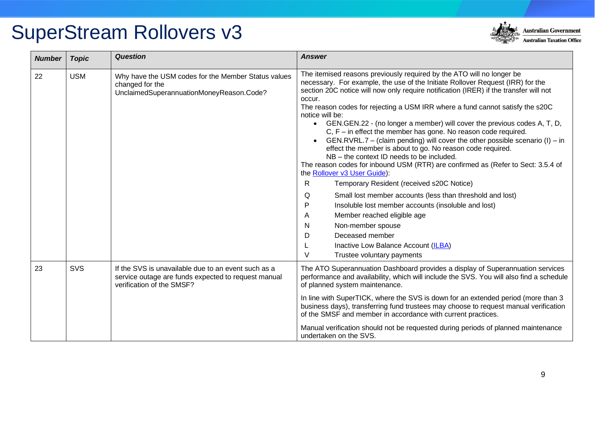

| <b>Number</b> | <b>Topic</b> | <b>Question</b>                                                                                                                         | <b>Answer</b>                                                                                                                                                                                                                                                                                                                                                                                                                                                                                                                                                                                                                                                                                                                                                                                                                                                                              |
|---------------|--------------|-----------------------------------------------------------------------------------------------------------------------------------------|--------------------------------------------------------------------------------------------------------------------------------------------------------------------------------------------------------------------------------------------------------------------------------------------------------------------------------------------------------------------------------------------------------------------------------------------------------------------------------------------------------------------------------------------------------------------------------------------------------------------------------------------------------------------------------------------------------------------------------------------------------------------------------------------------------------------------------------------------------------------------------------------|
| 22            | <b>USM</b>   | Why have the USM codes for the Member Status values<br>changed for the<br>UnclaimedSuperannuationMoneyReason.Code?                      | The itemised reasons previously required by the ATO will no longer be<br>necessary. For example, the use of the Initiate Rollover Request (IRR) for the<br>section 20C notice will now only require notification (IRER) if the transfer will not<br>occur.<br>The reason codes for rejecting a USM IRR where a fund cannot satisfy the s20C<br>notice will be:<br>GEN.GEN.22 - (no longer a member) will cover the previous codes A, T, D,<br>C, $F - in$ effect the member has gone. No reason code required.<br>GEN.RVRL.7 – (claim pending) will cover the other possible scenario (I) – in<br>effect the member is about to go. No reason code required.<br>NB - the context ID needs to be included.<br>The reason codes for inbound USM (RTR) are confirmed as (Refer to Sect: 3.5.4 of<br>the Rollover v3 User Guide):<br>$\mathsf{R}$<br>Temporary Resident (received s20C Notice) |
|               |              |                                                                                                                                         | Small lost member accounts (less than threshold and lost)<br>Q<br>P<br>Insoluble lost member accounts (insoluble and lost)                                                                                                                                                                                                                                                                                                                                                                                                                                                                                                                                                                                                                                                                                                                                                                 |
|               |              |                                                                                                                                         | Member reached eligible age<br>A                                                                                                                                                                                                                                                                                                                                                                                                                                                                                                                                                                                                                                                                                                                                                                                                                                                           |
|               |              |                                                                                                                                         | Non-member spouse<br>N                                                                                                                                                                                                                                                                                                                                                                                                                                                                                                                                                                                                                                                                                                                                                                                                                                                                     |
|               |              |                                                                                                                                         | Deceased member<br>D                                                                                                                                                                                                                                                                                                                                                                                                                                                                                                                                                                                                                                                                                                                                                                                                                                                                       |
|               |              |                                                                                                                                         | Inactive Low Balance Account (ILBA)<br>V<br>Trustee voluntary payments                                                                                                                                                                                                                                                                                                                                                                                                                                                                                                                                                                                                                                                                                                                                                                                                                     |
| 23            | SVS          | If the SVS is unavailable due to an event such as a<br>service outage are funds expected to request manual<br>verification of the SMSF? | The ATO Superannuation Dashboard provides a display of Superannuation services<br>performance and availability, which will include the SVS. You will also find a schedule<br>of planned system maintenance.                                                                                                                                                                                                                                                                                                                                                                                                                                                                                                                                                                                                                                                                                |
|               |              |                                                                                                                                         | In line with SuperTICK, where the SVS is down for an extended period (more than 3<br>business days), transferring fund trustees may choose to request manual verification<br>of the SMSF and member in accordance with current practices.                                                                                                                                                                                                                                                                                                                                                                                                                                                                                                                                                                                                                                                  |
|               |              |                                                                                                                                         | Manual verification should not be requested during periods of planned maintenance<br>undertaken on the SVS.                                                                                                                                                                                                                                                                                                                                                                                                                                                                                                                                                                                                                                                                                                                                                                                |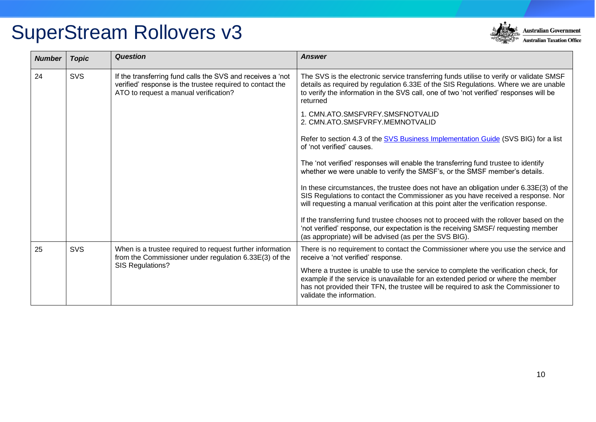

| <b>Number</b> | <b>Topic</b> | <b>Question</b>                                                                                                                                                  | <b>Answer</b>                                                                                                                                                                                                                                                                                |
|---------------|--------------|------------------------------------------------------------------------------------------------------------------------------------------------------------------|----------------------------------------------------------------------------------------------------------------------------------------------------------------------------------------------------------------------------------------------------------------------------------------------|
| 24            | SVS          | If the transferring fund calls the SVS and receives a 'not<br>verified' response is the trustee required to contact the<br>ATO to request a manual verification? | The SVS is the electronic service transferring funds utilise to verify or validate SMSF<br>details as required by regulation 6.33E of the SIS Regulations. Where we are unable<br>to verify the information in the SVS call, one of two 'not verified' responses will be<br>returned         |
|               |              |                                                                                                                                                                  | 1. CMN.ATO.SMSFVRFY.SMSFNOTVALID<br>2. CMN.ATO.SMSFVRFY.MEMNOTVALID                                                                                                                                                                                                                          |
|               |              |                                                                                                                                                                  | Refer to section 4.3 of the SVS Business Implementation Guide (SVS BIG) for a list<br>of 'not verified' causes.                                                                                                                                                                              |
|               |              |                                                                                                                                                                  | The 'not verified' responses will enable the transferring fund trustee to identify<br>whether we were unable to verify the SMSF's, or the SMSF member's details.                                                                                                                             |
|               |              |                                                                                                                                                                  | In these circumstances, the trustee does not have an obligation under 6.33E(3) of the<br>SIS Regulations to contact the Commissioner as you have received a response. Nor<br>will requesting a manual verification at this point alter the verification response.                            |
|               |              |                                                                                                                                                                  | If the transferring fund trustee chooses not to proceed with the rollover based on the<br>'not verified' response, our expectation is the receiving SMSF/ requesting member<br>(as appropriate) will be advised (as per the SVS BIG).                                                        |
| 25            | SVS          | When is a trustee required to request further information<br>from the Commissioner under regulation 6.33E(3) of the                                              | There is no requirement to contact the Commissioner where you use the service and<br>receive a 'not verified' response.                                                                                                                                                                      |
|               |              | SIS Regulations?                                                                                                                                                 | Where a trustee is unable to use the service to complete the verification check, for<br>example if the service is unavailable for an extended period or where the member<br>has not provided their TFN, the trustee will be required to ask the Commissioner to<br>validate the information. |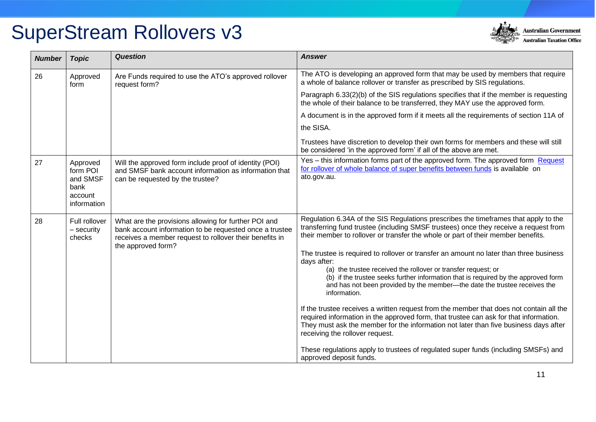

| <b>Number</b> | <b>Topic</b>                                                       | <b>Question</b>                                                                                                                                                                                  | <b>Answer</b>                                                                                                                                                                                                                                                                                                                                                                                                                                                                                                                                                                                                                                                                                                                                                                                                                                                                                                                                                                                                                                                |
|---------------|--------------------------------------------------------------------|--------------------------------------------------------------------------------------------------------------------------------------------------------------------------------------------------|--------------------------------------------------------------------------------------------------------------------------------------------------------------------------------------------------------------------------------------------------------------------------------------------------------------------------------------------------------------------------------------------------------------------------------------------------------------------------------------------------------------------------------------------------------------------------------------------------------------------------------------------------------------------------------------------------------------------------------------------------------------------------------------------------------------------------------------------------------------------------------------------------------------------------------------------------------------------------------------------------------------------------------------------------------------|
| 26            | Approved<br>form                                                   | Are Funds required to use the ATO's approved rollover<br>request form?                                                                                                                           | The ATO is developing an approved form that may be used by members that require<br>a whole of balance rollover or transfer as prescribed by SIS regulations.                                                                                                                                                                                                                                                                                                                                                                                                                                                                                                                                                                                                                                                                                                                                                                                                                                                                                                 |
|               |                                                                    |                                                                                                                                                                                                  | Paragraph 6.33(2)(b) of the SIS regulations specifies that if the member is requesting<br>the whole of their balance to be transferred, they MAY use the approved form.                                                                                                                                                                                                                                                                                                                                                                                                                                                                                                                                                                                                                                                                                                                                                                                                                                                                                      |
|               |                                                                    |                                                                                                                                                                                                  | A document is in the approved form if it meets all the requirements of section 11A of                                                                                                                                                                                                                                                                                                                                                                                                                                                                                                                                                                                                                                                                                                                                                                                                                                                                                                                                                                        |
|               |                                                                    |                                                                                                                                                                                                  | the SISA.                                                                                                                                                                                                                                                                                                                                                                                                                                                                                                                                                                                                                                                                                                                                                                                                                                                                                                                                                                                                                                                    |
|               |                                                                    |                                                                                                                                                                                                  | Trustees have discretion to develop their own forms for members and these will still<br>be considered 'in the approved form' if all of the above are met.                                                                                                                                                                                                                                                                                                                                                                                                                                                                                                                                                                                                                                                                                                                                                                                                                                                                                                    |
| 27            | Approved<br>form POI<br>and SMSF<br>bank<br>account<br>information | Will the approved form include proof of identity (POI)<br>and SMSF bank account information as information that<br>can be requested by the trustee?                                              | Yes - this information forms part of the approved form. The approved form Request<br>for rollover of whole balance of super benefits between funds is available on<br>ato.gov.au.                                                                                                                                                                                                                                                                                                                                                                                                                                                                                                                                                                                                                                                                                                                                                                                                                                                                            |
| 28            | Full rollover<br>- security<br>checks                              | What are the provisions allowing for further POI and<br>bank account information to be requested once a trustee<br>receives a member request to rollover their benefits in<br>the approved form? | Regulation 6.34A of the SIS Regulations prescribes the timeframes that apply to the<br>transferring fund trustee (including SMSF trustees) once they receive a request from<br>their member to rollover or transfer the whole or part of their member benefits.<br>The trustee is required to rollover or transfer an amount no later than three business<br>days after:<br>(a) the trustee received the rollover or transfer request; or<br>(b) if the trustee seeks further information that is required by the approved form<br>and has not been provided by the member-the date the trustee receives the<br>information.<br>If the trustee receives a written request from the member that does not contain all the<br>required information in the approved form, that trustee can ask for that information.<br>They must ask the member for the information not later than five business days after<br>receiving the rollover request.<br>These regulations apply to trustees of regulated super funds (including SMSFs) and<br>approved deposit funds. |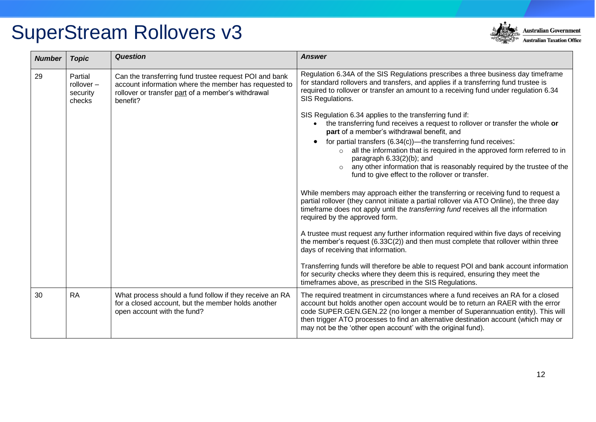

| <b>Number</b> | <b>Topic</b>                                  | <b>Question</b>                                                                                                                                                                   | <b>Answer</b>                                                                                                                                                                                                                                                                                                                                                                                                 |
|---------------|-----------------------------------------------|-----------------------------------------------------------------------------------------------------------------------------------------------------------------------------------|---------------------------------------------------------------------------------------------------------------------------------------------------------------------------------------------------------------------------------------------------------------------------------------------------------------------------------------------------------------------------------------------------------------|
| 29            | Partial<br>rollover $-$<br>security<br>checks | Can the transferring fund trustee request POI and bank<br>account information where the member has requested to<br>rollover or transfer part of a member's withdrawal<br>benefit? | Regulation 6.34A of the SIS Regulations prescribes a three business day timeframe<br>for standard rollovers and transfers, and applies if a transferring fund trustee is<br>required to rollover or transfer an amount to a receiving fund under regulation 6.34<br>SIS Regulations.                                                                                                                          |
|               |                                               |                                                                                                                                                                                   | SIS Regulation 6.34 applies to the transferring fund if:<br>the transferring fund receives a request to rollover or transfer the whole or<br>part of a member's withdrawal benefit, and                                                                                                                                                                                                                       |
|               |                                               |                                                                                                                                                                                   | for partial transfers (6.34(c))—the transferring fund receives:<br>all the information that is required in the approved form referred to in<br>$\circ$<br>paragraph $6.33(2)(b)$ ; and<br>any other information that is reasonably required by the trustee of the<br>fund to give effect to the rollover or transfer.                                                                                         |
|               |                                               |                                                                                                                                                                                   | While members may approach either the transferring or receiving fund to request a<br>partial rollover (they cannot initiate a partial rollover via ATO Online), the three day<br>timeframe does not apply until the <i>transferring fund</i> receives all the information<br>required by the approved form.                                                                                                   |
|               |                                               |                                                                                                                                                                                   | A trustee must request any further information required within five days of receiving<br>the member's request $(6.33C(2))$ and then must complete that rollover within three<br>days of receiving that information.                                                                                                                                                                                           |
|               |                                               |                                                                                                                                                                                   | Transferring funds will therefore be able to request POI and bank account information<br>for security checks where they deem this is required, ensuring they meet the<br>timeframes above, as prescribed in the SIS Regulations.                                                                                                                                                                              |
| 30            | <b>RA</b>                                     | What process should a fund follow if they receive an RA<br>for a closed account, but the member holds another<br>open account with the fund?                                      | The required treatment in circumstances where a fund receives an RA for a closed<br>account but holds another open account would be to return an RAER with the error<br>code SUPER.GEN.GEN.22 (no longer a member of Superannuation entity). This will<br>then trigger ATO processes to find an alternative destination account (which may or<br>may not be the 'other open account' with the original fund). |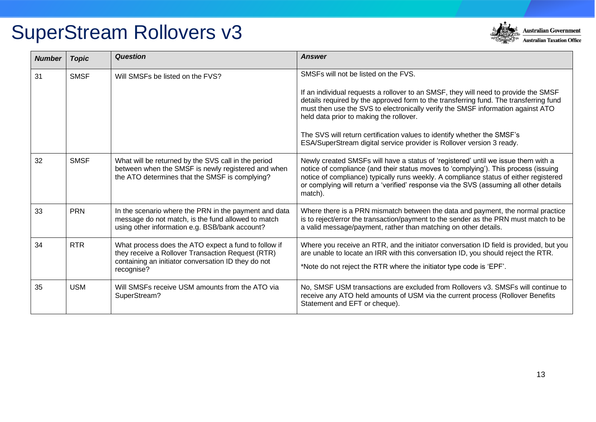

| <b>Number</b> | <b>Topic</b> | <b>Question</b>                                                                                                                                                                | <b>Answer</b>                                                                                                                                                                                                                                                                                                                                                          |
|---------------|--------------|--------------------------------------------------------------------------------------------------------------------------------------------------------------------------------|------------------------------------------------------------------------------------------------------------------------------------------------------------------------------------------------------------------------------------------------------------------------------------------------------------------------------------------------------------------------|
| 31            | <b>SMSF</b>  | Will SMSFs be listed on the FVS?                                                                                                                                               | SMSFs will not be listed on the FVS.                                                                                                                                                                                                                                                                                                                                   |
|               |              |                                                                                                                                                                                | If an individual requests a rollover to an SMSF, they will need to provide the SMSF<br>details required by the approved form to the transferring fund. The transferring fund<br>must then use the SVS to electronically verify the SMSF information against ATO<br>held data prior to making the rollover.                                                             |
|               |              |                                                                                                                                                                                | The SVS will return certification values to identify whether the SMSF's<br>ESA/SuperStream digital service provider is Rollover version 3 ready.                                                                                                                                                                                                                       |
| 32            | <b>SMSF</b>  | What will be returned by the SVS call in the period<br>between when the SMSF is newly registered and when<br>the ATO determines that the SMSF is complying?                    | Newly created SMSFs will have a status of 'registered' until we issue them with a<br>notice of compliance (and their status moves to 'complying'). This process (issuing<br>notice of compliance) typically runs weekly. A compliance status of either registered<br>or complying will return a 'verified' response via the SVS (assuming all other details<br>match). |
| 33            | <b>PRN</b>   | In the scenario where the PRN in the payment and data<br>message do not match, is the fund allowed to match<br>using other information e.g. BSB/bank account?                  | Where there is a PRN mismatch between the data and payment, the normal practice<br>is to reject/error the transaction/payment to the sender as the PRN must match to be<br>a valid message/payment, rather than matching on other details.                                                                                                                             |
| 34            | <b>RTR</b>   | What process does the ATO expect a fund to follow if<br>they receive a Rollover Transaction Request (RTR)<br>containing an initiator conversation ID they do not<br>recognise? | Where you receive an RTR, and the initiator conversation ID field is provided, but you<br>are unable to locate an IRR with this conversation ID, you should reject the RTR.<br>*Note do not reject the RTR where the initiator type code is 'EPF'.                                                                                                                     |
| 35            | <b>USM</b>   | Will SMSFs receive USM amounts from the ATO via<br>SuperStream?                                                                                                                | No, SMSF USM transactions are excluded from Rollovers v3. SMSFs will continue to<br>receive any ATO held amounts of USM via the current process (Rollover Benefits<br>Statement and EFT or cheque).                                                                                                                                                                    |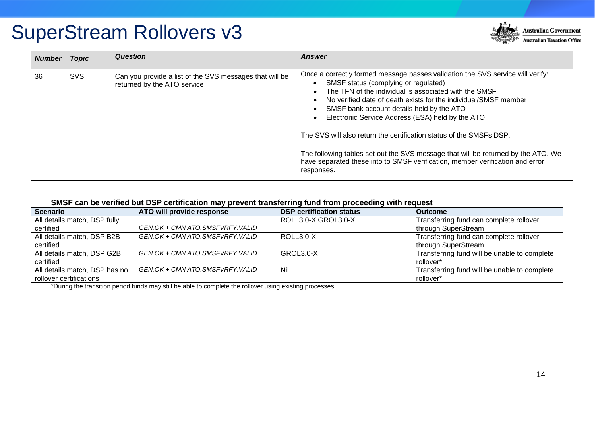

| <b>Number</b> | <b>Topic</b> | <b>Question</b>                                                                        | <b>Answer</b>                                                                                                                                                                                                                                                                                                                                                                                                                                                                                                                                                                                                   |
|---------------|--------------|----------------------------------------------------------------------------------------|-----------------------------------------------------------------------------------------------------------------------------------------------------------------------------------------------------------------------------------------------------------------------------------------------------------------------------------------------------------------------------------------------------------------------------------------------------------------------------------------------------------------------------------------------------------------------------------------------------------------|
| 36            | <b>SVS</b>   | Can you provide a list of the SVS messages that will be<br>returned by the ATO service | Once a correctly formed message passes validation the SVS service will verify:<br>SMSF status (complying or regulated)<br>The TFN of the individual is associated with the SMSF<br>No verified date of death exists for the individual/SMSF member<br>SMSF bank account details held by the ATO<br>Electronic Service Address (ESA) held by the ATO.<br>The SVS will also return the certification status of the SMSFs DSP.<br>The following tables set out the SVS message that will be returned by the ATO. We<br>have separated these into to SMSF verification, member verification and error<br>responses. |

#### **SMSF can be verified but DSP certification may prevent transferring fund from proceeding with request**

| <b>Scenario</b>               | ATO will provide response       | <b>DSP certification status</b> | <b>Outcome</b>                               |
|-------------------------------|---------------------------------|---------------------------------|----------------------------------------------|
| All details match, DSP fully  |                                 | ROLL3.0-X GROL3.0-X             | Transferring fund can complete rollover      |
| certified                     | GEN.OK + CMN.ATO.SMSFVRFY.VALID |                                 | through SuperStream                          |
| All details match, DSP B2B    | GEN.OK + CMN.ATO.SMSFVRFY.VALID | ROLL3.0-X                       | Transferring fund can complete rollover      |
| certified                     |                                 |                                 | through SuperStream                          |
| All details match, DSP G2B    | GEN.OK + CMN.ATO.SMSFVRFY.VALID | GROL3.0-X                       | Transferring fund will be unable to complete |
| certified                     |                                 |                                 | rollover*                                    |
| All details match, DSP has no | GEN.OK + CMN.ATO.SMSFVRFY.VALID | Nil                             | Transferring fund will be unable to complete |
| rollover certifications       |                                 |                                 | rollover*                                    |

\*During the transition period funds may still be able to complete the rollover using existing processes.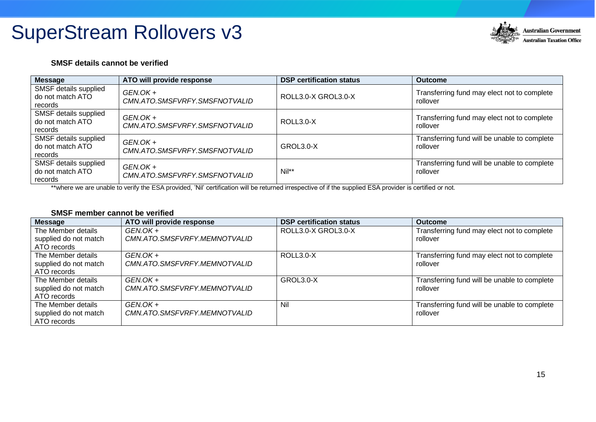

#### **SMSF details cannot be verified**

| <b>Message</b>                                       | ATO will provide response                | <b>DSP certification status</b> | <b>Outcome</b>                                           |
|------------------------------------------------------|------------------------------------------|---------------------------------|----------------------------------------------------------|
| SMSF details supplied<br>do not match ATO<br>records | GEN.OK+<br>CMN.ATO.SMSFVRFY.SMSFNOTVALID | ROLL3.0-X GROL3.0-X             | Transferring fund may elect not to complete<br>rollover  |
| SMSF details supplied<br>do not match ATO<br>records | GEN.OK+<br>CMN.ATO.SMSFVRFY.SMSFNOTVALID | ROLL3.0-X                       | Transferring fund may elect not to complete<br>rollover  |
| SMSF details supplied<br>do not match ATO<br>records | GEN.OK+<br>CMN.ATO.SMSFVRFY.SMSFNOTVALID | GROL3.0-X                       | Transferring fund will be unable to complete<br>rollover |
| SMSF details supplied<br>do not match ATO<br>records | GEN.OK+<br>CMN.ATO.SMSFVRFY.SMSFNOTVALID | Nil**                           | Transferring fund will be unable to complete<br>rollover |

\*\*where we are unable to verify the ESA provided, 'Nil' certification will be returned irrespective of if the supplied ESA provider is certified or not.

#### **SMSF member cannot be verified**

| <b>Message</b>        | ATO will provide response    | <b>DSP certification status</b> | <b>Outcome</b>                               |
|-----------------------|------------------------------|---------------------------------|----------------------------------------------|
| The Member details    | $GEN.OK +$                   | ROLL3.0-X GROL3.0-X             | Transferring fund may elect not to complete  |
| supplied do not match | CMN.ATO.SMSFVRFY.MEMNOTVALID |                                 | rollover                                     |
| ATO records           |                              |                                 |                                              |
| The Member details    | $GEN.OK +$                   | ROLL3.0-X                       | Transferring fund may elect not to complete  |
| supplied do not match | CMN.ATO.SMSFVRFY.MEMNOTVALID |                                 | rollover                                     |
| ATO records           |                              |                                 |                                              |
| The Member details    | GEN.OK+                      | GROL3.0-X                       | Transferring fund will be unable to complete |
| supplied do not match | CMN.ATO.SMSFVRFY.MEMNOTVALID |                                 | rollover                                     |
| ATO records           |                              |                                 |                                              |
| The Member details    | $GEN.OK +$                   | Nil                             | Transferring fund will be unable to complete |
| supplied do not match | CMN.ATO.SMSFVRFY.MEMNOTVALID |                                 | rollover                                     |
| ATO records           |                              |                                 |                                              |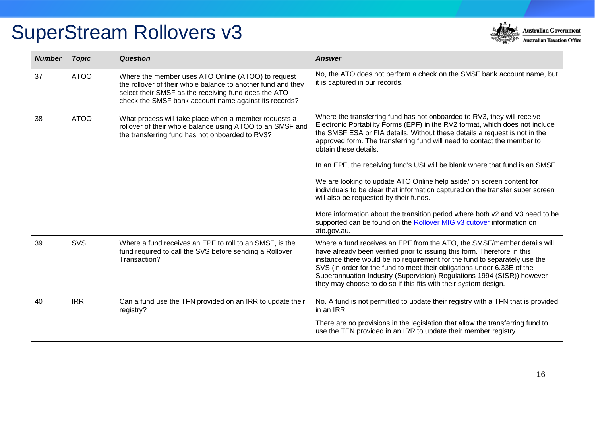

| <b>Number</b> | <b>Topic</b> | <b>Question</b>                                                                                                                                                                                                                     | <b>Answer</b>                                                                                                                                                                                                                                                                                                                                                                                                                                                                                                                                                                                                                                                                                                                                                                                          |
|---------------|--------------|-------------------------------------------------------------------------------------------------------------------------------------------------------------------------------------------------------------------------------------|--------------------------------------------------------------------------------------------------------------------------------------------------------------------------------------------------------------------------------------------------------------------------------------------------------------------------------------------------------------------------------------------------------------------------------------------------------------------------------------------------------------------------------------------------------------------------------------------------------------------------------------------------------------------------------------------------------------------------------------------------------------------------------------------------------|
| 37            | <b>ATOO</b>  | Where the member uses ATO Online (ATOO) to request<br>the rollover of their whole balance to another fund and they<br>select their SMSF as the receiving fund does the ATO<br>check the SMSF bank account name against its records? | No, the ATO does not perform a check on the SMSF bank account name, but<br>it is captured in our records.                                                                                                                                                                                                                                                                                                                                                                                                                                                                                                                                                                                                                                                                                              |
| 38            | <b>ATOO</b>  | What process will take place when a member requests a<br>rollover of their whole balance using ATOO to an SMSF and<br>the transferring fund has not onboarded to RV3?                                                               | Where the transferring fund has not onboarded to RV3, they will receive<br>Electronic Portability Forms (EPF) in the RV2 format, which does not include<br>the SMSF ESA or FIA details. Without these details a request is not in the<br>approved form. The transferring fund will need to contact the member to<br>obtain these details.<br>In an EPF, the receiving fund's USI will be blank where that fund is an SMSF.<br>We are looking to update ATO Online help aside/ on screen content for<br>individuals to be clear that information captured on the transfer super screen<br>will also be requested by their funds.<br>More information about the transition period where both v2 and V3 need to be<br>supported can be found on the Rollover MIG v3 cutover information on<br>ato.gov.au. |
| 39            | SVS          | Where a fund receives an EPF to roll to an SMSF, is the<br>fund required to call the SVS before sending a Rollover<br>Transaction?                                                                                                  | Where a fund receives an EPF from the ATO, the SMSF/member details will<br>have already been verified prior to issuing this form. Therefore in this<br>instance there would be no requirement for the fund to separately use the<br>SVS (in order for the fund to meet their obligations under 6.33E of the<br>Superannuation Industry (Supervision) Regulations 1994 (SISR)) however<br>they may choose to do so if this fits with their system design.                                                                                                                                                                                                                                                                                                                                               |
| 40            | <b>IRR</b>   | Can a fund use the TFN provided on an IRR to update their<br>registry?                                                                                                                                                              | No. A fund is not permitted to update their registry with a TFN that is provided<br>in an IRR.<br>There are no provisions in the legislation that allow the transferring fund to<br>use the TFN provided in an IRR to update their member registry.                                                                                                                                                                                                                                                                                                                                                                                                                                                                                                                                                    |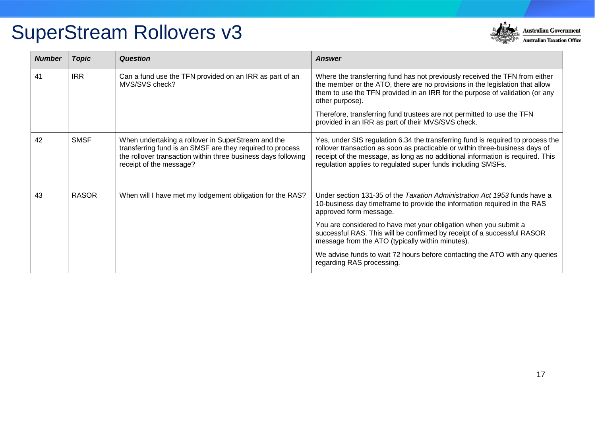

| <b>Number</b> | <b>Topic</b> | <b>Question</b>                                                                                                                                                                                             | <b>Answer</b>                                                                                                                                                                                                                                                                                                     |
|---------------|--------------|-------------------------------------------------------------------------------------------------------------------------------------------------------------------------------------------------------------|-------------------------------------------------------------------------------------------------------------------------------------------------------------------------------------------------------------------------------------------------------------------------------------------------------------------|
| 41            | <b>IRR</b>   | Can a fund use the TFN provided on an IRR as part of an<br>MVS/SVS check?                                                                                                                                   | Where the transferring fund has not previously received the TFN from either<br>the member or the ATO, there are no provisions in the legislation that allow<br>them to use the TFN provided in an IRR for the purpose of validation (or any<br>other purpose).                                                    |
|               |              |                                                                                                                                                                                                             | Therefore, transferring fund trustees are not permitted to use the TFN<br>provided in an IRR as part of their MVS/SVS check.                                                                                                                                                                                      |
| 42            | <b>SMSF</b>  | When undertaking a rollover in SuperStream and the<br>transferring fund is an SMSF are they required to process<br>the rollover transaction within three business days following<br>receipt of the message? | Yes, under SIS regulation 6.34 the transferring fund is required to process the<br>rollover transaction as soon as practicable or within three-business days of<br>receipt of the message, as long as no additional information is required. This<br>regulation applies to regulated super funds including SMSFs. |
| 43            | <b>RASOR</b> | When will I have met my lodgement obligation for the RAS?                                                                                                                                                   | Under section 131-35 of the Taxation Administration Act 1953 funds have a<br>10-business day timeframe to provide the information required in the RAS<br>approved form message.                                                                                                                                   |
|               |              |                                                                                                                                                                                                             | You are considered to have met your obligation when you submit a<br>successful RAS. This will be confirmed by receipt of a successful RASOR<br>message from the ATO (typically within minutes).                                                                                                                   |
|               |              |                                                                                                                                                                                                             | We advise funds to wait 72 hours before contacting the ATO with any queries<br>regarding RAS processing.                                                                                                                                                                                                          |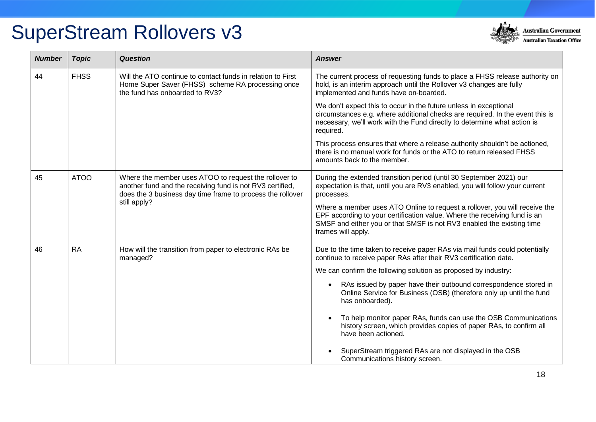

| <b>Number</b> | <b>Topic</b> | <b>Question</b>                                                                                                                                                                                  | <b>Answer</b>                                                                                                                                                                                                                                          |
|---------------|--------------|--------------------------------------------------------------------------------------------------------------------------------------------------------------------------------------------------|--------------------------------------------------------------------------------------------------------------------------------------------------------------------------------------------------------------------------------------------------------|
| 44            | <b>FHSS</b>  | Will the ATO continue to contact funds in relation to First<br>Home Super Saver (FHSS) scheme RA processing once<br>the fund has onboarded to RV3?                                               | The current process of requesting funds to place a FHSS release authority on<br>hold, is an interim approach until the Rollover v3 changes are fully<br>implemented and funds have on-boarded.                                                         |
|               |              |                                                                                                                                                                                                  | We don't expect this to occur in the future unless in exceptional<br>circumstances e.g. where additional checks are required. In the event this is<br>necessary, we'll work with the Fund directly to determine what action is<br>required.            |
|               |              |                                                                                                                                                                                                  | This process ensures that where a release authority shouldn't be actioned,<br>there is no manual work for funds or the ATO to return released FHSS<br>amounts back to the member.                                                                      |
| 45            | <b>ATOO</b>  | Where the member uses ATOO to request the rollover to<br>another fund and the receiving fund is not RV3 certified,<br>does the 3 business day time frame to process the rollover<br>still apply? | During the extended transition period (until 30 September 2021) our<br>expectation is that, until you are RV3 enabled, you will follow your current<br>processes.                                                                                      |
|               |              |                                                                                                                                                                                                  | Where a member uses ATO Online to request a rollover, you will receive the<br>EPF according to your certification value. Where the receiving fund is an<br>SMSF and either you or that SMSF is not RV3 enabled the existing time<br>frames will apply. |
| 46            | <b>RA</b>    | How will the transition from paper to electronic RAs be<br>managed?                                                                                                                              | Due to the time taken to receive paper RAs via mail funds could potentially<br>continue to receive paper RAs after their RV3 certification date.                                                                                                       |
|               |              |                                                                                                                                                                                                  | We can confirm the following solution as proposed by industry:                                                                                                                                                                                         |
|               |              |                                                                                                                                                                                                  | RAs issued by paper have their outbound correspondence stored in<br>Online Service for Business (OSB) (therefore only up until the fund<br>has onboarded).                                                                                             |
|               |              |                                                                                                                                                                                                  | To help monitor paper RAs, funds can use the OSB Communications<br>history screen, which provides copies of paper RAs, to confirm all<br>have been actioned.                                                                                           |
|               |              |                                                                                                                                                                                                  | SuperStream triggered RAs are not displayed in the OSB<br>Communications history screen.                                                                                                                                                               |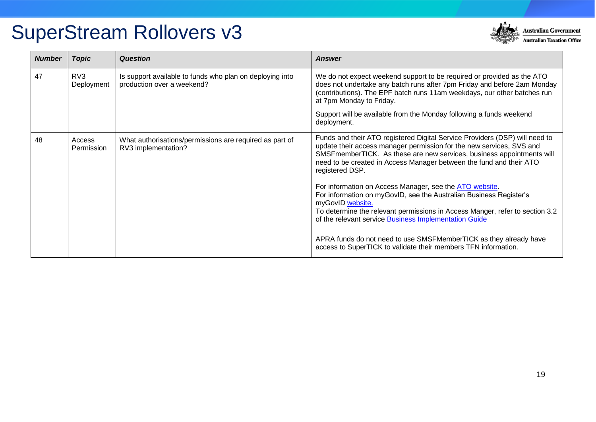

| <b>Number</b> | <b>Topic</b>                  | <b>Question</b>                                                                        | <b>Answer</b>                                                                                                                                                                                                                                                                                                          |
|---------------|-------------------------------|----------------------------------------------------------------------------------------|------------------------------------------------------------------------------------------------------------------------------------------------------------------------------------------------------------------------------------------------------------------------------------------------------------------------|
| 47            | RV <sub>3</sub><br>Deployment | Is support available to funds who plan on deploying into<br>production over a weekend? | We do not expect weekend support to be required or provided as the ATO<br>does not undertake any batch runs after 7pm Friday and before 2am Monday<br>(contributions). The EPF batch runs 11am weekdays, our other batches run<br>at 7pm Monday to Friday.                                                             |
|               |                               |                                                                                        | Support will be available from the Monday following a funds weekend<br>deployment.                                                                                                                                                                                                                                     |
| 48            | Access<br>Permission          | What authorisations/permissions are required as part of<br>RV3 implementation?         | Funds and their ATO registered Digital Service Providers (DSP) will need to<br>update their access manager permission for the new services, SVS and<br>SMSFmemberTICK. As these are new services, business appointments will<br>need to be created in Access Manager between the fund and their ATO<br>registered DSP. |
|               |                               |                                                                                        | For information on Access Manager, see the ATO website.<br>For information on myGovID, see the Australian Business Register's<br>myGovID website.<br>To determine the relevant permissions in Access Manger, refer to section 3.2<br>of the relevant service Business Implementation Guide                             |
|               |                               |                                                                                        | APRA funds do not need to use SMSFMemberTICK as they already have<br>access to SuperTICK to validate their members TFN information.                                                                                                                                                                                    |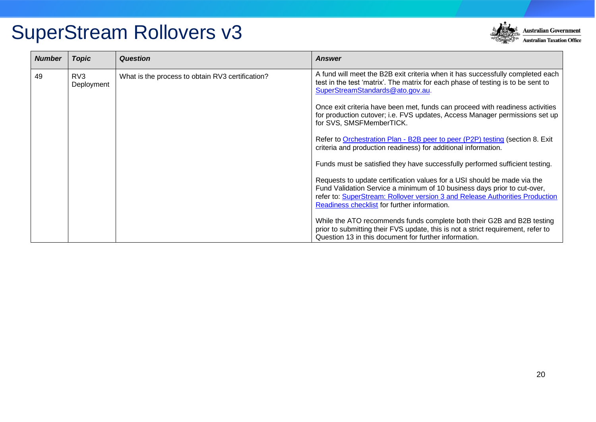

| <b>Number</b> | <b>Topic</b>                  | <b>Question</b>                                  | <b>Answer</b>                                                                                                                                                                                                                                                                        |
|---------------|-------------------------------|--------------------------------------------------|--------------------------------------------------------------------------------------------------------------------------------------------------------------------------------------------------------------------------------------------------------------------------------------|
| 49            | RV <sub>3</sub><br>Deployment | What is the process to obtain RV3 certification? | A fund will meet the B2B exit criteria when it has successfully completed each<br>test in the test 'matrix'. The matrix for each phase of testing is to be sent to<br>SuperStreamStandards@ato.gov.au.                                                                               |
|               |                               |                                                  | Once exit criteria have been met, funds can proceed with readiness activities<br>for production cutover; i.e. FVS updates, Access Manager permissions set up<br>for SVS, SMSFMemberTICK.                                                                                             |
|               |                               |                                                  | Refer to Orchestration Plan - B2B peer to peer (P2P) testing (section 8. Exit<br>criteria and production readiness) for additional information.                                                                                                                                      |
|               |                               |                                                  | Funds must be satisfied they have successfully performed sufficient testing.                                                                                                                                                                                                         |
|               |                               |                                                  | Requests to update certification values for a USI should be made via the<br>Fund Validation Service a minimum of 10 business days prior to cut-over,<br>refer to: SuperStream: Rollover version 3 and Release Authorities Production<br>Readiness checklist for further information. |
|               |                               |                                                  | While the ATO recommends funds complete both their G2B and B2B testing<br>prior to submitting their FVS update, this is not a strict requirement, refer to<br>Question 13 in this document for further information.                                                                  |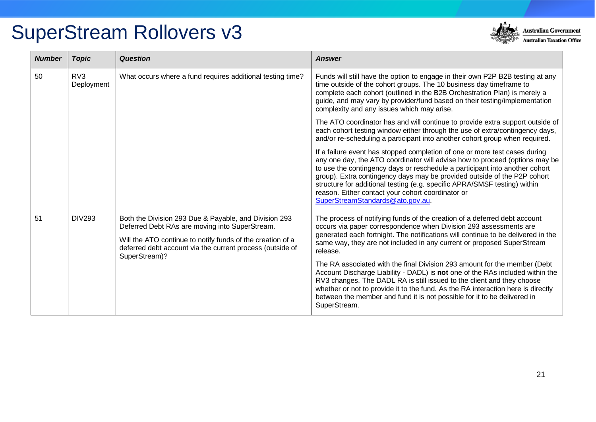

| <b>Number</b> | <b>Topic</b>                  | <b>Question</b>                                                                                                                                                                                                                                     | <b>Answer</b>                                                                                                                                                                                                                                                                                                                                                                                                                                                                                                                                                                                                                                                                                                                                    |
|---------------|-------------------------------|-----------------------------------------------------------------------------------------------------------------------------------------------------------------------------------------------------------------------------------------------------|--------------------------------------------------------------------------------------------------------------------------------------------------------------------------------------------------------------------------------------------------------------------------------------------------------------------------------------------------------------------------------------------------------------------------------------------------------------------------------------------------------------------------------------------------------------------------------------------------------------------------------------------------------------------------------------------------------------------------------------------------|
| 50            | RV <sub>3</sub><br>Deployment | What occurs where a fund requires additional testing time?                                                                                                                                                                                          | Funds will still have the option to engage in their own P2P B2B testing at any<br>time outside of the cohort groups. The 10 business day timeframe to<br>complete each cohort (outlined in the B2B Orchestration Plan) is merely a<br>guide, and may vary by provider/fund based on their testing/implementation<br>complexity and any issues which may arise.                                                                                                                                                                                                                                                                                                                                                                                   |
|               |                               |                                                                                                                                                                                                                                                     | The ATO coordinator has and will continue to provide extra support outside of<br>each cohort testing window either through the use of extra/contingency days,<br>and/or re-scheduling a participant into another cohort group when required.                                                                                                                                                                                                                                                                                                                                                                                                                                                                                                     |
|               |                               |                                                                                                                                                                                                                                                     | If a failure event has stopped completion of one or more test cases during<br>any one day, the ATO coordinator will advise how to proceed (options may be<br>to use the contingency days or reschedule a participant into another cohort<br>group). Extra contingency days may be provided outside of the P2P cohort<br>structure for additional testing (e.g. specific APRA/SMSF testing) within<br>reason. Either contact your cohort coordinator or<br>SuperStreamStandards@ato.gov.au.                                                                                                                                                                                                                                                       |
| 51            | DIV293                        | Both the Division 293 Due & Payable, and Division 293<br>Deferred Debt RAs are moving into SuperStream.<br>Will the ATO continue to notify funds of the creation of a<br>deferred debt account via the current process (outside of<br>SuperStream)? | The process of notifying funds of the creation of a deferred debt account<br>occurs via paper correspondence when Division 293 assessments are<br>generated each fortnight. The notifications will continue to be delivered in the<br>same way, they are not included in any current or proposed SuperStream<br>release.<br>The RA associated with the final Division 293 amount for the member (Debt<br>Account Discharge Liability - DADL) is not one of the RAs included within the<br>RV3 changes. The DADL RA is still issued to the client and they choose<br>whether or not to provide it to the fund. As the RA interaction here is directly<br>between the member and fund it is not possible for it to be delivered in<br>SuperStream. |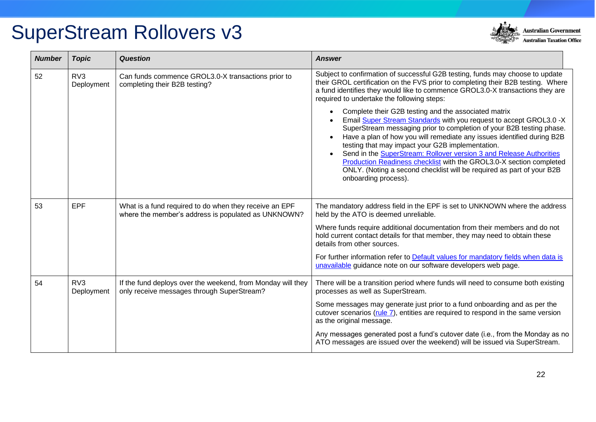

| <b>Number</b> | <b>Topic</b>                  | <b>Question</b>                                                                                               | <b>Answer</b>                                                                                                                                                                                                                                                                                                                                                                                                                                                                                                                                                                   |
|---------------|-------------------------------|---------------------------------------------------------------------------------------------------------------|---------------------------------------------------------------------------------------------------------------------------------------------------------------------------------------------------------------------------------------------------------------------------------------------------------------------------------------------------------------------------------------------------------------------------------------------------------------------------------------------------------------------------------------------------------------------------------|
| 52            | RV <sub>3</sub><br>Deployment | Can funds commence GROL3.0-X transactions prior to<br>completing their B2B testing?                           | Subject to confirmation of successful G2B testing, funds may choose to update<br>their GROL certification on the FVS prior to completing their B2B testing. Where<br>a fund identifies they would like to commence GROL3.0-X transactions they are<br>required to undertake the following steps:                                                                                                                                                                                                                                                                                |
|               |                               |                                                                                                               | Complete their G2B testing and the associated matrix<br>Email Super Stream Standards with you request to accept GROL3.0 -X<br>SuperStream messaging prior to completion of your B2B testing phase.<br>Have a plan of how you will remediate any issues identified during B2B<br>testing that may impact your G2B implementation.<br>Send in the SuperStream: Rollover version 3 and Release Authorities<br>Production Readiness checklist with the GROL3.0-X section completed<br>ONLY. (Noting a second checklist will be required as part of your B2B<br>onboarding process). |
| 53            | <b>EPF</b>                    | What is a fund required to do when they receive an EPF<br>where the member's address is populated as UNKNOWN? | The mandatory address field in the EPF is set to UNKNOWN where the address<br>held by the ATO is deemed unreliable.                                                                                                                                                                                                                                                                                                                                                                                                                                                             |
|               |                               |                                                                                                               | Where funds require additional documentation from their members and do not<br>hold current contact details for that member, they may need to obtain these<br>details from other sources.                                                                                                                                                                                                                                                                                                                                                                                        |
|               |                               |                                                                                                               | For further information refer to Default values for mandatory fields when data is<br>unavailable guidance note on our software developers web page.                                                                                                                                                                                                                                                                                                                                                                                                                             |
| 54            | RV <sub>3</sub><br>Deployment | If the fund deploys over the weekend, from Monday will they<br>only receive messages through SuperStream?     | There will be a transition period where funds will need to consume both existing<br>processes as well as SuperStream.                                                                                                                                                                                                                                                                                                                                                                                                                                                           |
|               |                               |                                                                                                               | Some messages may generate just prior to a fund onboarding and as per the<br>cutover scenarios (rule 7), entities are required to respond in the same version<br>as the original message.                                                                                                                                                                                                                                                                                                                                                                                       |
|               |                               |                                                                                                               | Any messages generated post a fund's cutover date (i.e., from the Monday as no<br>ATO messages are issued over the weekend) will be issued via SuperStream.                                                                                                                                                                                                                                                                                                                                                                                                                     |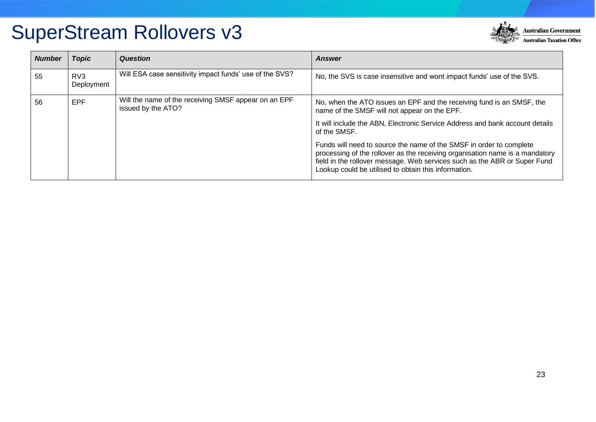

| <b>Number</b> | Topic                         | <b>Question</b>                                                            | <b>Answer</b>                                                                                                                                                                                                                                                                            |
|---------------|-------------------------------|----------------------------------------------------------------------------|------------------------------------------------------------------------------------------------------------------------------------------------------------------------------------------------------------------------------------------------------------------------------------------|
| 55            | RV <sub>3</sub><br>Deployment | Will ESA case sensitivity impact funds' use of the SVS?                    | No, the SVS is case insensitive and wont impact funds' use of the SVS.                                                                                                                                                                                                                   |
| 56            | <b>EPF</b>                    | Will the name of the receiving SMSF appear on an EPF<br>issued by the ATO? | No, when the ATO issues an EPF and the receiving fund is an SMSF, the<br>name of the SMSF will not appear on the EPF.                                                                                                                                                                    |
|               |                               |                                                                            | It will include the ABN, Electronic Service Address and bank account details<br>of the SMSF.                                                                                                                                                                                             |
|               |                               |                                                                            | Funds will need to source the name of the SMSF in order to complete<br>processing of the rollover as the receiving organisation name is a mandatory<br>field in the rollover message. Web services such as the ABR or Super Fund<br>Lookup could be utilised to obtain this information. |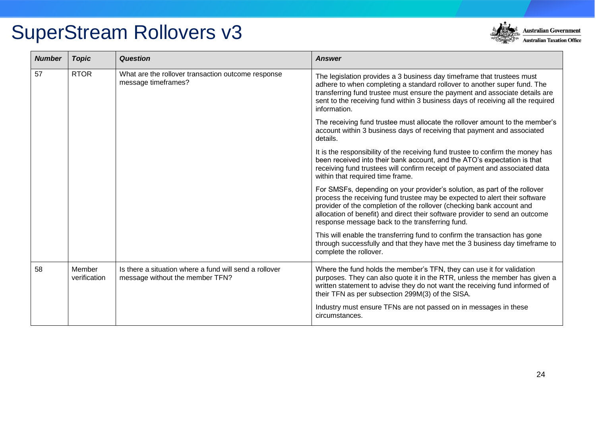

| <b>Number</b> | <b>Topic</b>           | <b>Question</b>                                                                           | <b>Answer</b>                                                                                                                                                                                                                                                                                                                                                       |
|---------------|------------------------|-------------------------------------------------------------------------------------------|---------------------------------------------------------------------------------------------------------------------------------------------------------------------------------------------------------------------------------------------------------------------------------------------------------------------------------------------------------------------|
| 57            | <b>RTOR</b>            | What are the rollover transaction outcome response<br>message timeframes?                 | The legislation provides a 3 business day timeframe that trustees must<br>adhere to when completing a standard rollover to another super fund. The<br>transferring fund trustee must ensure the payment and associate details are<br>sent to the receiving fund within 3 business days of receiving all the required<br>information.                                |
|               |                        |                                                                                           | The receiving fund trustee must allocate the rollover amount to the member's<br>account within 3 business days of receiving that payment and associated<br>details.                                                                                                                                                                                                 |
|               |                        |                                                                                           | It is the responsibility of the receiving fund trustee to confirm the money has<br>been received into their bank account, and the ATO's expectation is that<br>receiving fund trustees will confirm receipt of payment and associated data<br>within that required time frame.                                                                                      |
|               |                        |                                                                                           | For SMSFs, depending on your provider's solution, as part of the rollover<br>process the receiving fund trustee may be expected to alert their software<br>provider of the completion of the rollover (checking bank account and<br>allocation of benefit) and direct their software provider to send an outcome<br>response message back to the transferring fund. |
|               |                        |                                                                                           | This will enable the transferring fund to confirm the transaction has gone<br>through successfully and that they have met the 3 business day timeframe to<br>complete the rollover.                                                                                                                                                                                 |
| 58            | Member<br>verification | Is there a situation where a fund will send a rollover<br>message without the member TFN? | Where the fund holds the member's TFN, they can use it for validation<br>purposes. They can also quote it in the RTR, unless the member has given a<br>written statement to advise they do not want the receiving fund informed of<br>their TFN as per subsection 299M(3) of the SISA.                                                                              |
|               |                        |                                                                                           | Industry must ensure TFNs are not passed on in messages in these<br>circumstances.                                                                                                                                                                                                                                                                                  |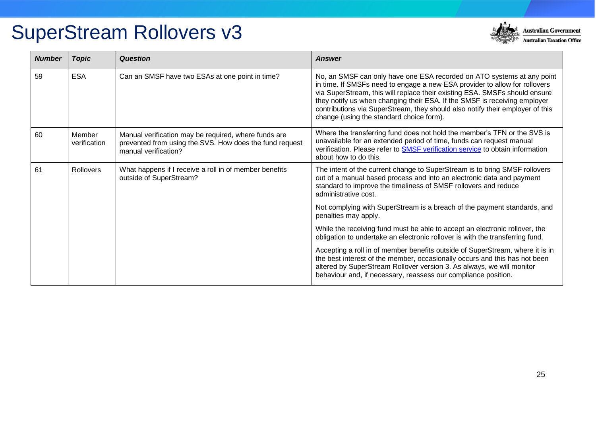

| <b>Number</b> | <b>Topic</b>           | <b>Question</b>                                                                                                                         | <b>Answer</b>                                                                                                                                                                                                                                                                                                                                                                                                                                |
|---------------|------------------------|-----------------------------------------------------------------------------------------------------------------------------------------|----------------------------------------------------------------------------------------------------------------------------------------------------------------------------------------------------------------------------------------------------------------------------------------------------------------------------------------------------------------------------------------------------------------------------------------------|
| 59            | <b>ESA</b>             | Can an SMSF have two ESAs at one point in time?                                                                                         | No, an SMSF can only have one ESA recorded on ATO systems at any point<br>in time. If SMSFs need to engage a new ESA provider to allow for rollovers<br>via SuperStream, this will replace their existing ESA. SMSFs should ensure<br>they notify us when changing their ESA. If the SMSF is receiving employer<br>contributions via SuperStream, they should also notify their employer of this<br>change (using the standard choice form). |
| 60            | Member<br>verification | Manual verification may be required, where funds are<br>prevented from using the SVS. How does the fund request<br>manual verification? | Where the transferring fund does not hold the member's TFN or the SVS is<br>unavailable for an extended period of time, funds can request manual<br>verification. Please refer to <b>SMSF</b> verification service to obtain information<br>about how to do this.                                                                                                                                                                            |
| 61            | <b>Rollovers</b>       | What happens if I receive a roll in of member benefits<br>outside of SuperStream?                                                       | The intent of the current change to SuperStream is to bring SMSF rollovers<br>out of a manual based process and into an electronic data and payment<br>standard to improve the timeliness of SMSF rollovers and reduce<br>administrative cost.                                                                                                                                                                                               |
|               |                        |                                                                                                                                         | Not complying with SuperStream is a breach of the payment standards, and<br>penalties may apply.                                                                                                                                                                                                                                                                                                                                             |
|               |                        |                                                                                                                                         | While the receiving fund must be able to accept an electronic rollover, the<br>obligation to undertake an electronic rollover is with the transferring fund.                                                                                                                                                                                                                                                                                 |
|               |                        |                                                                                                                                         | Accepting a roll in of member benefits outside of SuperStream, where it is in<br>the best interest of the member, occasionally occurs and this has not been<br>altered by SuperStream Rollover version 3. As always, we will monitor<br>behaviour and, if necessary, reassess our compliance position.                                                                                                                                       |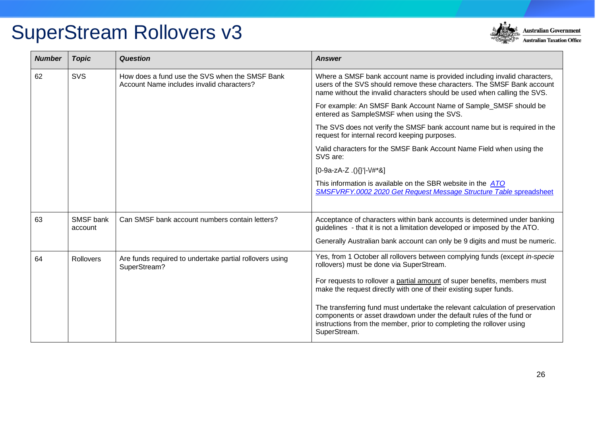

| <b>Number</b> | <b>Topic</b>                | <b>Question</b>                                                                             | Answer                                                                                                                                                                                                                                       |
|---------------|-----------------------------|---------------------------------------------------------------------------------------------|----------------------------------------------------------------------------------------------------------------------------------------------------------------------------------------------------------------------------------------------|
| 62            | SVS                         | How does a fund use the SVS when the SMSF Bank<br>Account Name includes invalid characters? | Where a SMSF bank account name is provided including invalid characters,<br>users of the SVS should remove these characters. The SMSF Bank account<br>name without the invalid characters should be used when calling the SVS.               |
|               |                             |                                                                                             | For example: An SMSF Bank Account Name of Sample_SMSF should be<br>entered as SampleSMSF when using the SVS.                                                                                                                                 |
|               |                             |                                                                                             | The SVS does not verify the SMSF bank account name but is required in the<br>request for internal record keeping purposes.                                                                                                                   |
|               |                             |                                                                                             | Valid characters for the SMSF Bank Account Name Field when using the<br>SVS are:                                                                                                                                                             |
|               |                             |                                                                                             | $[0-9a-zA-Z.()$  ' - $V#*8]$                                                                                                                                                                                                                 |
|               |                             |                                                                                             | This information is available on the SBR website in the ATO<br>SMSFVRFY.0002 2020 Get Request Message Structure Table spreadsheet                                                                                                            |
|               |                             |                                                                                             |                                                                                                                                                                                                                                              |
| 63            | <b>SMSF</b> bank<br>account | Can SMSF bank account numbers contain letters?                                              | Acceptance of characters within bank accounts is determined under banking<br>guidelines - that it is not a limitation developed or imposed by the ATO.                                                                                       |
|               |                             |                                                                                             | Generally Australian bank account can only be 9 digits and must be numeric.                                                                                                                                                                  |
| 64            | <b>Rollovers</b>            | Are funds required to undertake partial rollovers using<br>SuperStream?                     | Yes, from 1 October all rollovers between complying funds (except in-specie<br>rollovers) must be done via SuperStream.                                                                                                                      |
|               |                             |                                                                                             | For requests to rollover a partial amount of super benefits, members must<br>make the request directly with one of their existing super funds.                                                                                               |
|               |                             |                                                                                             | The transferring fund must undertake the relevant calculation of preservation<br>components or asset drawdown under the default rules of the fund or<br>instructions from the member, prior to completing the rollover using<br>SuperStream. |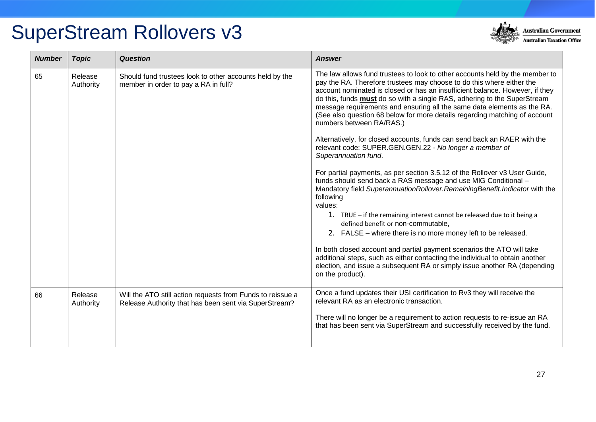

| <b>Number</b> | <b>Topic</b>         | <b>Question</b>                                                                                                     | <b>Answer</b>                                                                                                                                                                                                                                                                                                                                                                                                                                                                                                                                                                                                                                                                                                                                                                                                                                                                                                           |
|---------------|----------------------|---------------------------------------------------------------------------------------------------------------------|-------------------------------------------------------------------------------------------------------------------------------------------------------------------------------------------------------------------------------------------------------------------------------------------------------------------------------------------------------------------------------------------------------------------------------------------------------------------------------------------------------------------------------------------------------------------------------------------------------------------------------------------------------------------------------------------------------------------------------------------------------------------------------------------------------------------------------------------------------------------------------------------------------------------------|
| 65            | Release<br>Authority | Should fund trustees look to other accounts held by the<br>member in order to pay a RA in full?                     | The law allows fund trustees to look to other accounts held by the member to<br>pay the RA. Therefore trustees may choose to do this where either the<br>account nominated is closed or has an insufficient balance. However, if they<br>do this, funds <b>must</b> do so with a single RAS, adhering to the SuperStream<br>message requirements and ensuring all the same data elements as the RA.<br>(See also question 68 below for more details regarding matching of account<br>numbers between RA/RAS.)<br>Alternatively, for closed accounts, funds can send back an RAER with the<br>relevant code: SUPER.GEN.GEN.22 - No longer a member of<br>Superannuation fund.<br>For partial payments, as per section 3.5.12 of the Rollover v3 User Guide,<br>funds should send back a RAS message and use MIG Conditional -<br>Mandatory field SuperannuationRollover.RemainingBenefit.Indicator with the<br>following |
|               |                      |                                                                                                                     | values:<br>1. TRUE - if the remaining interest cannot be released due to it being a<br>defined benefit or non-commutable,                                                                                                                                                                                                                                                                                                                                                                                                                                                                                                                                                                                                                                                                                                                                                                                               |
|               |                      |                                                                                                                     | 2. FALSE – where there is no more money left to be released.                                                                                                                                                                                                                                                                                                                                                                                                                                                                                                                                                                                                                                                                                                                                                                                                                                                            |
|               |                      |                                                                                                                     | In both closed account and partial payment scenarios the ATO will take<br>additional steps, such as either contacting the individual to obtain another<br>election, and issue a subsequent RA or simply issue another RA (depending<br>on the product).                                                                                                                                                                                                                                                                                                                                                                                                                                                                                                                                                                                                                                                                 |
| 66            | Release<br>Authority | Will the ATO still action requests from Funds to reissue a<br>Release Authority that has been sent via SuperStream? | Once a fund updates their USI certification to Rv3 they will receive the<br>relevant RA as an electronic transaction.                                                                                                                                                                                                                                                                                                                                                                                                                                                                                                                                                                                                                                                                                                                                                                                                   |
|               |                      |                                                                                                                     | There will no longer be a requirement to action requests to re-issue an RA<br>that has been sent via SuperStream and successfully received by the fund.                                                                                                                                                                                                                                                                                                                                                                                                                                                                                                                                                                                                                                                                                                                                                                 |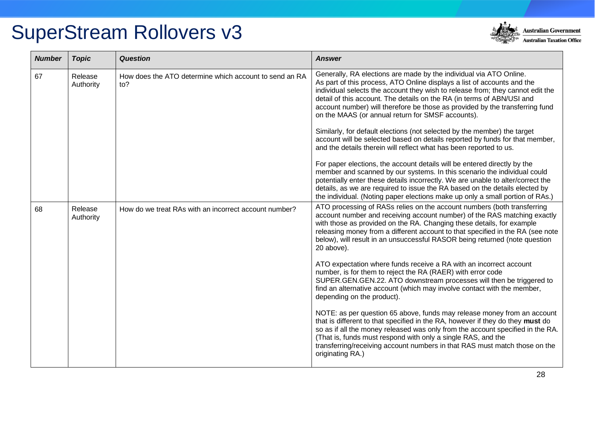

| <b>Number</b> | <b>Topic</b>         | <b>Question</b>                                               | <b>Answer</b>                                                                                                                                                                                                                                                                                                                                                                                                                                                                                                                                                                                                                                                                                                                                                                                                                                                                                                                                                                                                                                                                                                                                     |
|---------------|----------------------|---------------------------------------------------------------|---------------------------------------------------------------------------------------------------------------------------------------------------------------------------------------------------------------------------------------------------------------------------------------------------------------------------------------------------------------------------------------------------------------------------------------------------------------------------------------------------------------------------------------------------------------------------------------------------------------------------------------------------------------------------------------------------------------------------------------------------------------------------------------------------------------------------------------------------------------------------------------------------------------------------------------------------------------------------------------------------------------------------------------------------------------------------------------------------------------------------------------------------|
| 67            | Release<br>Authority | How does the ATO determine which account to send an RA<br>to? | Generally, RA elections are made by the individual via ATO Online.<br>As part of this process, ATO Online displays a list of accounts and the<br>individual selects the account they wish to release from; they cannot edit the<br>detail of this account. The details on the RA (in terms of ABN/USI and<br>account number) will therefore be those as provided by the transferring fund<br>on the MAAS (or annual return for SMSF accounts).<br>Similarly, for default elections (not selected by the member) the target<br>account will be selected based on details reported by funds for that member,<br>and the details therein will reflect what has been reported to us.<br>For paper elections, the account details will be entered directly by the<br>member and scanned by our systems. In this scenario the individual could<br>potentially enter these details incorrectly. We are unable to alter/correct the<br>details, as we are required to issue the RA based on the details elected by<br>the individual. (Noting paper elections make up only a small portion of RAs.)                                                       |
| 68            | Release<br>Authority | How do we treat RAs with an incorrect account number?         | ATO processing of RASs relies on the account numbers (both transferring<br>account number and receiving account number) of the RAS matching exactly<br>with those as provided on the RA. Changing these details, for example<br>releasing money from a different account to that specified in the RA (see note<br>below), will result in an unsuccessful RASOR being returned (note question<br>20 above).<br>ATO expectation where funds receive a RA with an incorrect account<br>number, is for them to reject the RA (RAER) with error code<br>SUPER.GEN.GEN.22. ATO downstream processes will then be triggered to<br>find an alternative account (which may involve contact with the member,<br>depending on the product).<br>NOTE: as per question 65 above, funds may release money from an account<br>that is different to that specified in the RA, however if they do they must do<br>so as if all the money released was only from the account specified in the RA.<br>(That is, funds must respond with only a single RAS, and the<br>transferring/receiving account numbers in that RAS must match those on the<br>originating RA.) |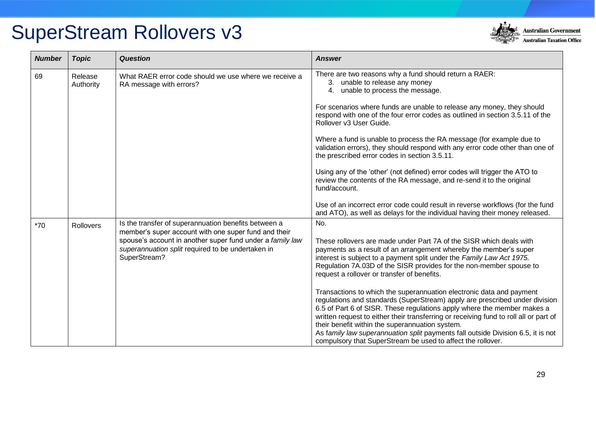

| <b>Number</b> | <b>Topic</b>         | <b>Question</b>                                                                                                                                                                                                                                | <b>Answer</b>                                                                                                                                                                                                                                                                                                                                                                                                                                                                                                                 |
|---------------|----------------------|------------------------------------------------------------------------------------------------------------------------------------------------------------------------------------------------------------------------------------------------|-------------------------------------------------------------------------------------------------------------------------------------------------------------------------------------------------------------------------------------------------------------------------------------------------------------------------------------------------------------------------------------------------------------------------------------------------------------------------------------------------------------------------------|
| 69            | Release<br>Authority | What RAER error code should we use where we receive a<br>RA message with errors?                                                                                                                                                               | There are two reasons why a fund should return a RAER:<br>3. unable to release any money<br>unable to process the message.<br>4.                                                                                                                                                                                                                                                                                                                                                                                              |
|               |                      |                                                                                                                                                                                                                                                | For scenarios where funds are unable to release any money, they should<br>respond with one of the four error codes as outlined in section 3.5.11 of the<br>Rollover v3 User Guide.                                                                                                                                                                                                                                                                                                                                            |
|               |                      |                                                                                                                                                                                                                                                | Where a fund is unable to process the RA message (for example due to<br>validation errors), they should respond with any error code other than one of<br>the prescribed error codes in section 3.5.11.                                                                                                                                                                                                                                                                                                                        |
|               |                      |                                                                                                                                                                                                                                                | Using any of the 'other' (not defined) error codes will trigger the ATO to<br>review the contents of the RA message, and re-send it to the original<br>fund/account.                                                                                                                                                                                                                                                                                                                                                          |
|               |                      |                                                                                                                                                                                                                                                | Use of an incorrect error code could result in reverse workflows (for the fund<br>and ATO), as well as delays for the individual having their money released.                                                                                                                                                                                                                                                                                                                                                                 |
| $*70$         | <b>Rollovers</b>     | Is the transfer of superannuation benefits between a<br>member's super account with one super fund and their<br>spouse's account in another super fund under a family law<br>superannuation split required to be undertaken in<br>SuperStream? | No.<br>These rollovers are made under Part 7A of the SISR which deals with<br>payments as a result of an arrangement whereby the member's super<br>interest is subject to a payment split under the Family Law Act 1975.<br>Regulation 7A.03D of the SISR provides for the non-member spouse to<br>request a rollover or transfer of benefits.                                                                                                                                                                                |
|               |                      |                                                                                                                                                                                                                                                | Transactions to which the superannuation electronic data and payment<br>regulations and standards (SuperStream) apply are prescribed under division<br>6.5 of Part 6 of SISR. These regulations apply where the member makes a<br>written request to either their transferring or receiving fund to roll all or part of<br>their benefit within the superannuation system.<br>As family law superannuation split payments fall outside Division 6.5, it is not<br>compulsory that SuperStream be used to affect the rollover. |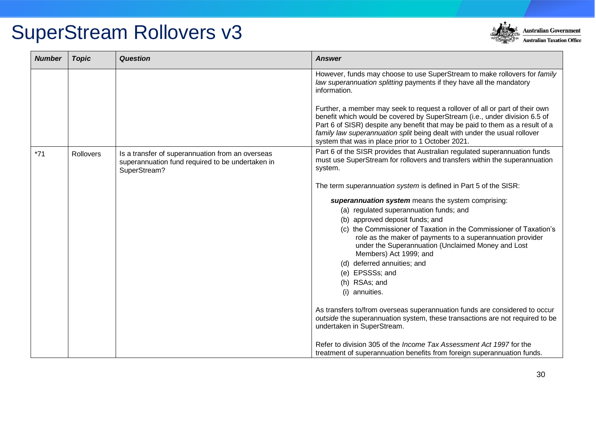

| <b>Number</b> | <b>Topic</b> | <b>Question</b>                                                                                                      | <b>Answer</b>                                                                                                                                                                                                                                                                                                                                                                 |
|---------------|--------------|----------------------------------------------------------------------------------------------------------------------|-------------------------------------------------------------------------------------------------------------------------------------------------------------------------------------------------------------------------------------------------------------------------------------------------------------------------------------------------------------------------------|
|               |              |                                                                                                                      | However, funds may choose to use SuperStream to make rollovers for family<br>law superannuation splitting payments if they have all the mandatory<br>information.                                                                                                                                                                                                             |
|               |              |                                                                                                                      | Further, a member may seek to request a rollover of all or part of their own<br>benefit which would be covered by SuperStream (i.e., under division 6.5 of<br>Part 6 of SISR) despite any benefit that may be paid to them as a result of a<br>family law superannuation split being dealt with under the usual rollover<br>system that was in place prior to 1 October 2021. |
| $*71$         | Rollovers    | Is a transfer of superannuation from an overseas<br>superannuation fund required to be undertaken in<br>SuperStream? | Part 6 of the SISR provides that Australian regulated superannuation funds<br>must use SuperStream for rollovers and transfers within the superannuation<br>system.                                                                                                                                                                                                           |
|               |              |                                                                                                                      | The term superannuation system is defined in Part 5 of the SISR:                                                                                                                                                                                                                                                                                                              |
|               |              |                                                                                                                      | superannuation system means the system comprising:                                                                                                                                                                                                                                                                                                                            |
|               |              |                                                                                                                      | (a) regulated superannuation funds; and                                                                                                                                                                                                                                                                                                                                       |
|               |              |                                                                                                                      | (b) approved deposit funds; and                                                                                                                                                                                                                                                                                                                                               |
|               |              |                                                                                                                      | (c) the Commissioner of Taxation in the Commissioner of Taxation's<br>role as the maker of payments to a superannuation provider<br>under the Superannuation (Unclaimed Money and Lost<br>Members) Act 1999; and                                                                                                                                                              |
|               |              |                                                                                                                      | (d) deferred annuities; and                                                                                                                                                                                                                                                                                                                                                   |
|               |              |                                                                                                                      | (e) EPSSSs; and                                                                                                                                                                                                                                                                                                                                                               |
|               |              |                                                                                                                      | (h) RSAs; and                                                                                                                                                                                                                                                                                                                                                                 |
|               |              |                                                                                                                      | (i) annuities.                                                                                                                                                                                                                                                                                                                                                                |
|               |              |                                                                                                                      | As transfers to/from overseas superannuation funds are considered to occur<br>outside the superannuation system, these transactions are not required to be<br>undertaken in SuperStream.                                                                                                                                                                                      |
|               |              |                                                                                                                      | Refer to division 305 of the <i>Income Tax Assessment Act 1997</i> for the<br>treatment of superannuation benefits from foreign superannuation funds.                                                                                                                                                                                                                         |